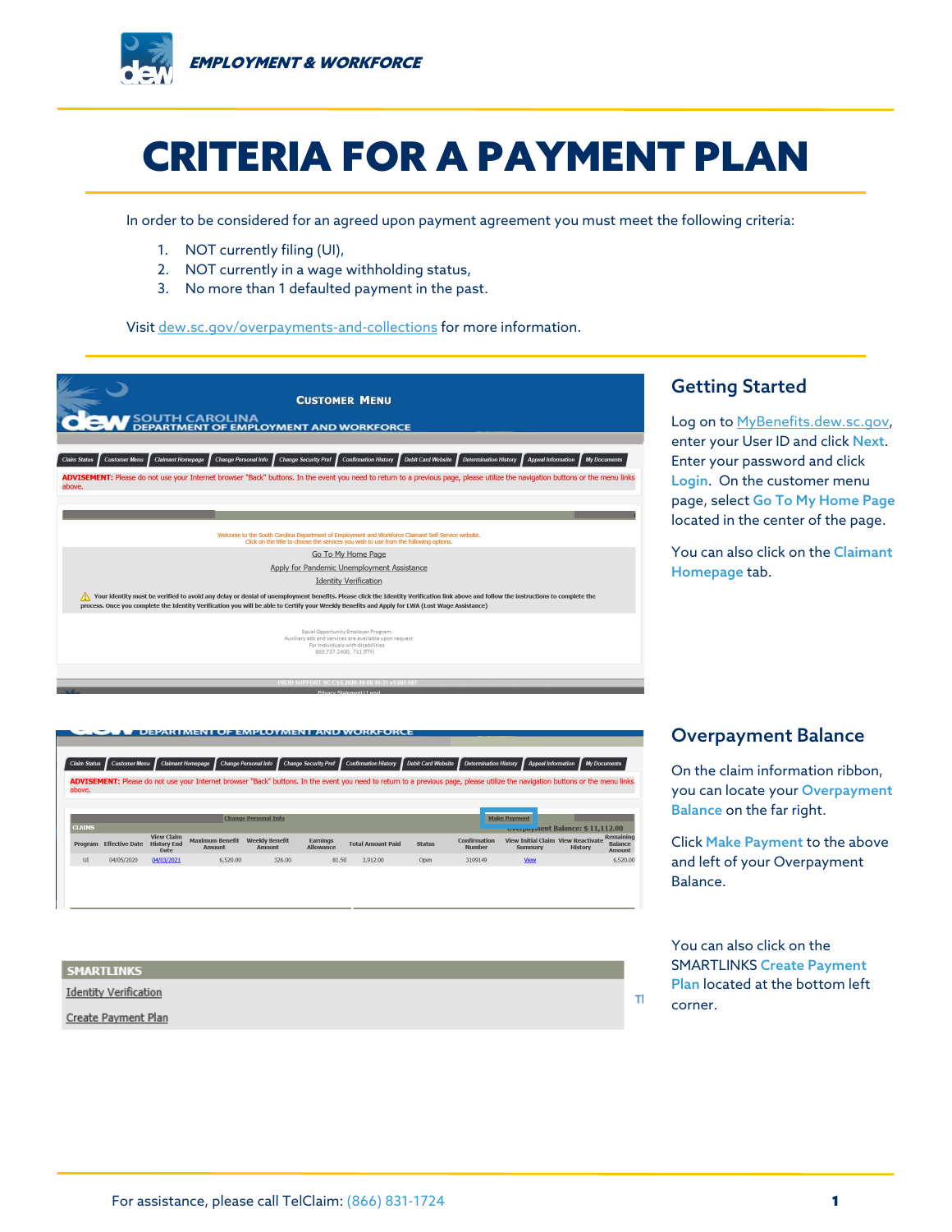

# CRITERIA FOR A PAYMENT PLAN

In order to be considered for an agreed upon payment agreement you must meet the following criteria:

- 1. NOT currently filing (UI),
- 2. NOT currently in a wage withholding status,
- 3. No more than 1 defaulted payment in the past.

Visit [dew.sc.gov/overpayments-and-collections](file://PRD-HQFS/Shares/Media_Relations/Communications/COVID-19/CSS-ESS%20Guides/CSS%20PUA%20Claim%20Guides/dew.sc.gov/overpayments-and-collections) for more information.



**UEPARTMENT OF EMPLOYMENT AND WORKFORCE** us Customer Menu Claimant Homepage Change Personal Info Change Security Pref Confirmation History Debit Card Website Determin nation History *▌* App ADVISEMENT: Please do not use your Internet browser "Back" buttons. In the event you need to return to a previous page, please utilize the navigation buttons or the menu link Make Payment hange Personal Inf nt Balance: \$11.112.00 View Claim<br>Program Effective Date History End Maximum Benefit Weekly Benefit<br>Date Amount Amount<br>Amount View Initial Claim View Reactivate<br>
Summary History Earnings<br>Allowance Total Amount Paid Status  $_{\rm UI}$ 04/05/2020 04/03/2021 6,520.00 326,00  $81.50$ 3,912.00 Open

| <b>SMARTLINKS</b>            |  |
|------------------------------|--|
| <b>Identity Verification</b> |  |
| Create Payment Plan          |  |

### Overpayment Balance

On the claim information ribbon, you can locate your Overpayment Balance on the far right.

Click Make Payment to the above and left of your Overpayment Balance.

You can also click on the SMARTLINKS Create Payment Plan located at the bottom left corner.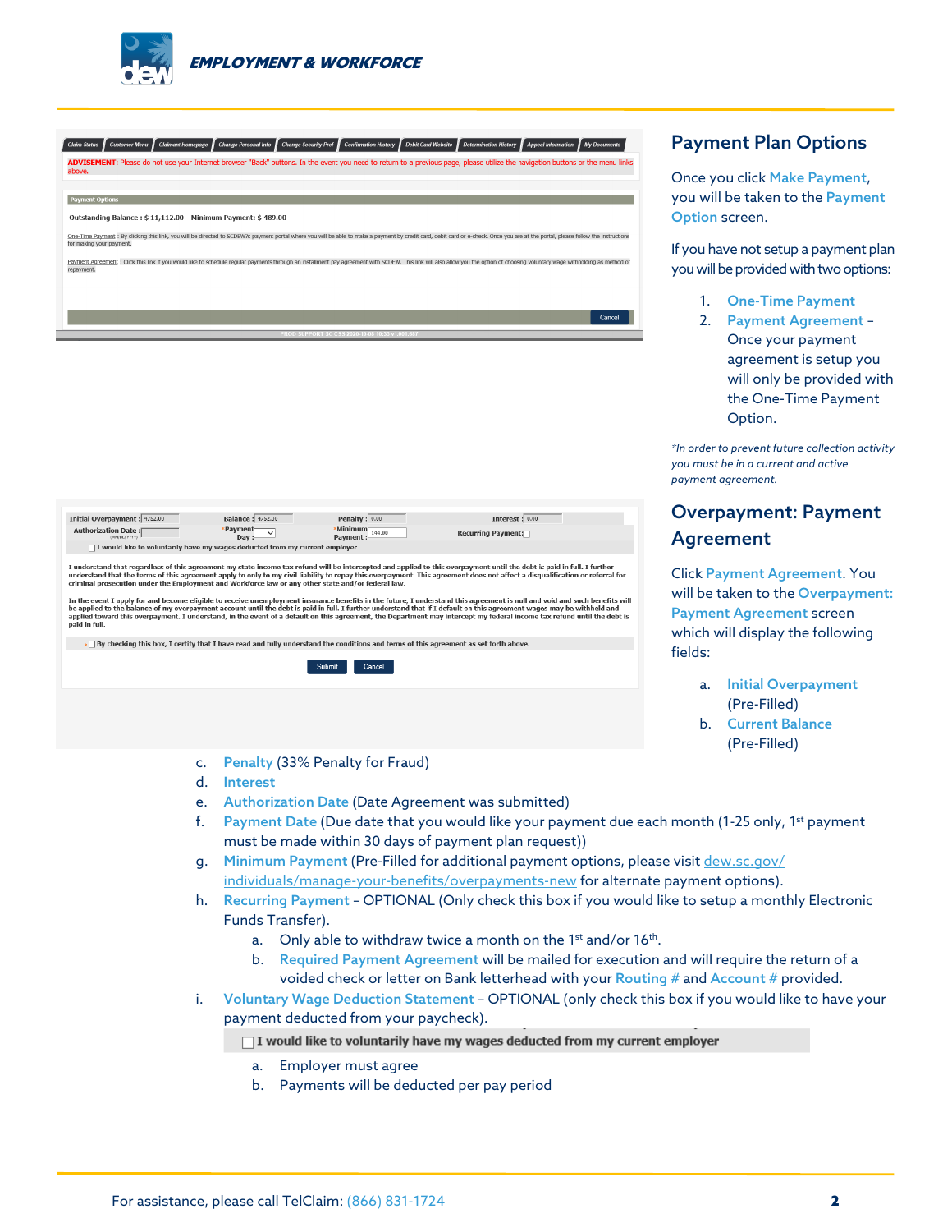

| <b>Claim Status</b><br>above. | ADVISEMENT: Please do not use your Internet browser "Back" buttons. In the event you need to return to a previous page, please utilize the navigation buttons or the menu links                                                |  |                                                 |  | <b>My Documents</b> |
|-------------------------------|--------------------------------------------------------------------------------------------------------------------------------------------------------------------------------------------------------------------------------|--|-------------------------------------------------|--|---------------------|
|                               |                                                                                                                                                                                                                                |  |                                                 |  |                     |
| <b>Payment Options</b>        |                                                                                                                                                                                                                                |  |                                                 |  |                     |
|                               | Outstanding Balance: \$11,112.00 Minimum Payment: \$489.00                                                                                                                                                                     |  |                                                 |  |                     |
| for making your payment.      | One-Time Payment : By clicking this link, you will be directed to SCDEW?s payment portal where you will be able to make a payment by credit card, debit card or e-check. Once you are at the portal, please follow the instruc |  |                                                 |  |                     |
| repayment.                    | Payment Agreement : Click this link if you would like to schedule reqular payments through an installment pay agreement with SCDEW. This link will also allow you the option of choosing voluntary wage withholding as method  |  |                                                 |  |                     |
|                               |                                                                                                                                                                                                                                |  |                                                 |  |                     |
|                               |                                                                                                                                                                                                                                |  |                                                 |  |                     |
|                               |                                                                                                                                                                                                                                |  |                                                 |  | Cancel              |
|                               |                                                                                                                                                                                                                                |  | PROD SUPPORT SC CSS 2020-10-08 10:33 v1.001.687 |  |                     |
|                               |                                                                                                                                                                                                                                |  |                                                 |  |                     |

| Initial Overpayment : 4752.00                                                                                                                                                                                                                                                                                                                                                                                                                                 | <b>Balance: 4752.00</b>      | Penalty $: 0.00$             | Interest: $0.00$            |  |  |  |  |
|---------------------------------------------------------------------------------------------------------------------------------------------------------------------------------------------------------------------------------------------------------------------------------------------------------------------------------------------------------------------------------------------------------------------------------------------------------------|------------------------------|------------------------------|-----------------------------|--|--|--|--|
| <b>Authorization Date:</b><br>(MM/DD/YYYYY)                                                                                                                                                                                                                                                                                                                                                                                                                   | *Payment<br>$\mathsf{Dav}$ : | *Minimum<br>Payment : 144.00 | <b>Recurring Payment:</b> □ |  |  |  |  |
| □ I would like to voluntarily have my wages deducted from my current employer                                                                                                                                                                                                                                                                                                                                                                                 |                              |                              |                             |  |  |  |  |
| I understand that regardless of this agreement my state income tax refund will be intercepted and applied to this overpayment until the debt is paid in full. I further<br>understand that the terms of this agreement apply to only to my civil liability to repay this overpayment. This agreement does not affect a disqualification or referral for<br>criminal prosecution under the Employment and Workforce law or any other state and/or federal law. |                              |                              |                             |  |  |  |  |

and the event I apply for and become eligible to receive universe that we are entry of ceasuration.<br>The the event I apply for and become eligible to receive unemployment insurance benefits in the future. I understand this

. By checking this box, I certify that I have read and fully understand the conditions and terms of this agreement as set forth above.

Submit Cancel

## Payment Plan Options

Once you click Make Payment, you will be taken to the Payment Option screen.

If you have not setup a payment plan you will be provided with two options:

- 1. One-Time Payment
- 2. Payment Agreement Once your payment agreement is setup you will only be provided with the One-Time Payment Option.

*\*In order to prevent future collection activity you must be in a current and active payment agreement.*

# Overpayment: Payment Agreement

Click Payment Agreement. You will be taken to the Overpayment: Payment Agreement screen which will display the following fields:

- a. Initial Overpayment (Pre-Filled)
- b. Current Balance (Pre-Filled)

- c. Penalty (33% Penalty for Fraud)
- d. Interest

 $\sim$  100  $\pm$  100

- e. Authorization Date (Date Agreement was submitted)
- f. Payment Date (Due date that you would like your payment due each month (1-25 only, 1<sup>st</sup> payment must be made within 30 days of payment plan request))
- g. Minimum Payment (Pre-Filled for additional payment options, please visit dew.sc.gov/ individuals/manage-your-benefits/overpayments-new for alternate payment options).
- h. Recurring Payment OPTIONAL (Only check this box if you would like to setup a monthly Electronic Funds Transfer).
	- a. Only able to withdraw twice a month on the 1<sup>st</sup> and/or 16<sup>th</sup>.
	- b. Required Payment Agreement will be mailed for execution and will require the return of a voided check or letter on Bank letterhead with your Routing # and Account # provided.
- i. Voluntary Wage Deduction Statement OPTIONAL (only check this box if you would like to have your payment deducted from your paycheck).

□ I would like to voluntarily have my wages deducted from my current employer

- a. Employer must agree
- b. Payments will be deducted per pay period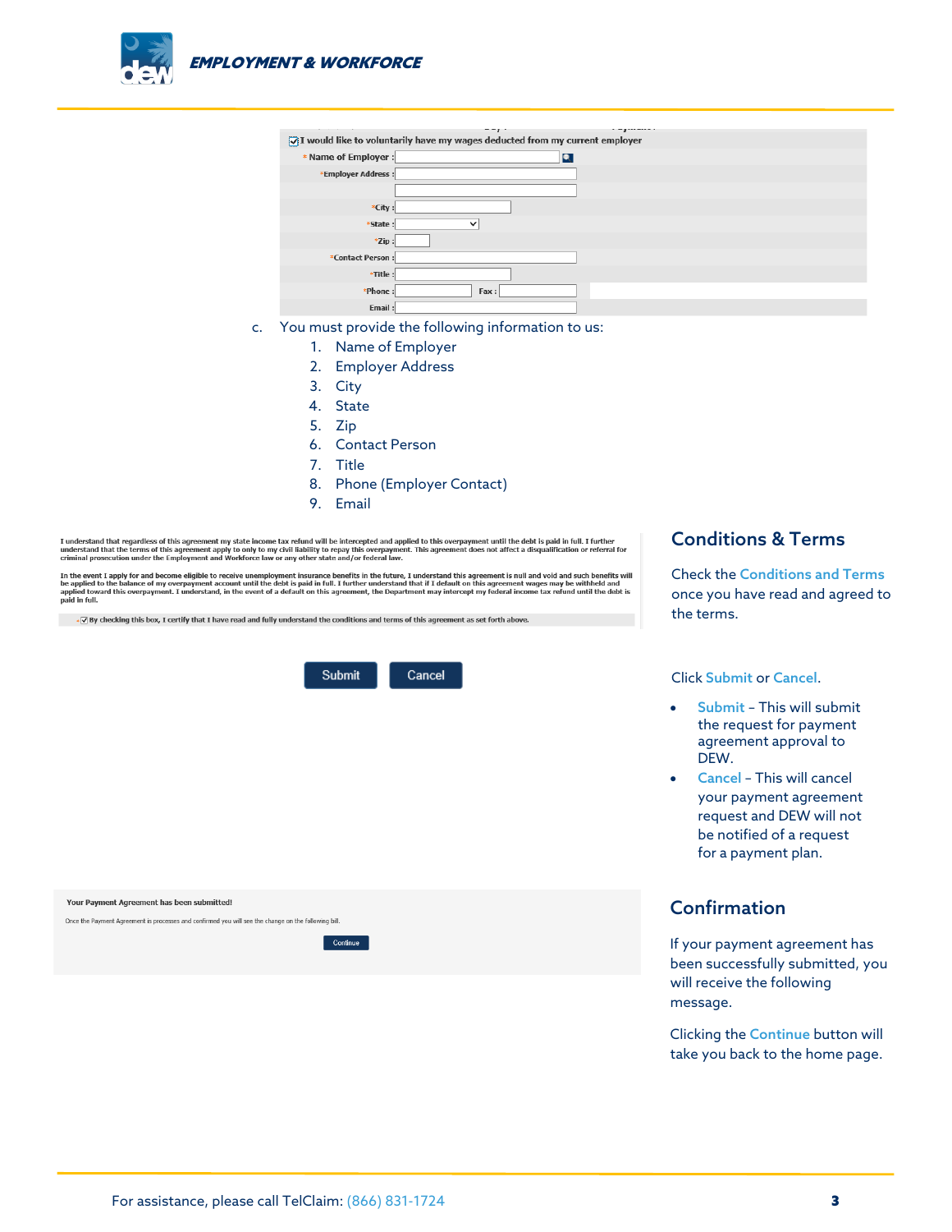

|                                                                                             | ---         |  |  |  |  |  |
|---------------------------------------------------------------------------------------------|-------------|--|--|--|--|--|
| – – <b>r</b><br>T would like to voluntarily have my wages deducted from my current employer |             |  |  |  |  |  |
| * Name of Employer :                                                                        | Q           |  |  |  |  |  |
| *Employer Address:                                                                          |             |  |  |  |  |  |
|                                                                                             |             |  |  |  |  |  |
| *City:                                                                                      |             |  |  |  |  |  |
| *State:                                                                                     | $\check{ }$ |  |  |  |  |  |
| $*$ Zip:                                                                                    |             |  |  |  |  |  |
| *Contact Person:                                                                            |             |  |  |  |  |  |
| *Title:                                                                                     |             |  |  |  |  |  |
| *Phone:                                                                                     | Fax:        |  |  |  |  |  |
| Email:                                                                                      |             |  |  |  |  |  |

- c. You must provide the following information to us:
	- 1. Name of Employer
	- 2. Employer Address
	- 3. City
	- 4. State
	- 5. Zip
	- 6. Contact Person
	- 7. Title
	- 8. Phone (Employer Contact)
	- 9. Email

I understand that regardless of this agreement my state income tax refund will be intercepted and applied to this overpayment until the debt is paid in full. I further<br>understand that the terms of this agreement apply to o

Chininal prosecution under the employment and workioute law or any other state and or redeal law.<br>In the event I apply for and become eligible to receive memployment insurance benefits in the further, I understand this agr

- < By checking this box, I certify that I have read and fully understand the conditions and terms of this agreement as set forth above.



#### Conditions & Terms

Check the Conditions and Terms once you have read and agreed to the terms.

Click Submit or Cancel.

- Submit This will submit the request for payment agreement approval to DEW.
- Cancel This will cancel your payment agreement request and DEW will not be notified of a request for a payment plan.

# Confirmation

If your payment agreement has been successfully submitted, you will receive the following message.

Clicking the Continue button will take you back to the home page.

| Your Payment Agreement has been submitted!                                                           |  |  |  |  |  |
|------------------------------------------------------------------------------------------------------|--|--|--|--|--|
| Once the Payment Agreement is processes and confirmed you will see the change on the following bill. |  |  |  |  |  |
| Continue                                                                                             |  |  |  |  |  |